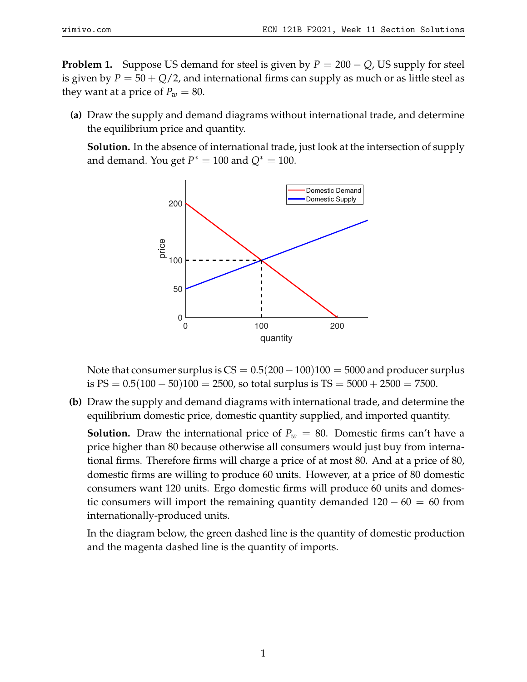**Problem 1.** Suppose US demand for steel is given by  $P = 200 - Q$ , US supply for steel is given by  $P = 50 + Q/2$ , and international firms can supply as much or as little steel as they want at a price of  $P_w = 80$ .

**(a)** Draw the supply and demand diagrams without international trade, and determine the equilibrium price and quantity.

**Solution.** In the absence of international trade, just look at the intersection of supply and demand. You get  $P^* = 100$  and  $Q^* = 100$ .



Note that consumer surplus is  $CS = 0.5(200-100)100 = 5000$  and producer surplus is  $PS = 0.5(100 - 50)100 = 2500$ , so total surplus is  $TS = 5000 + 2500 = 7500$ .

**(b)** Draw the supply and demand diagrams with international trade, and determine the equilibrium domestic price, domestic quantity supplied, and imported quantity.

**Solution.** Draw the international price of  $P_w = 80$ . Domestic firms can't have a price higher than 80 because otherwise all consumers would just buy from international firms. Therefore firms will charge a price of at most 80. And at a price of 80, domestic firms are willing to produce 60 units. However, at a price of 80 domestic consumers want 120 units. Ergo domestic firms will produce 60 units and domestic consumers will import the remaining quantity demanded  $120 - 60 = 60$  from internationally-produced units.

In the diagram below, the green dashed line is the quantity of domestic production and the magenta dashed line is the quantity of imports.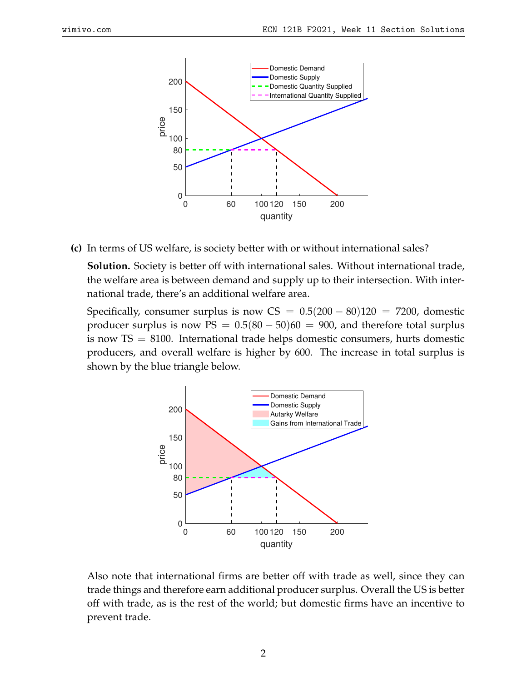

**(c)** In terms of US welfare, is society better with or without international sales?

**Solution.** Society is better off with international sales. Without international trade, the welfare area is between demand and supply up to their intersection. With international trade, there's an additional welfare area.

Specifically, consumer surplus is now  $CS = 0.5(200 - 80)120 = 7200$ , domestic producer surplus is now  $PS = 0.5(80 - 50)60 = 900$ , and therefore total surplus is now  $TS = 8100$ . International trade helps domestic consumers, hurts domestic producers, and overall welfare is higher by 600. The increase in total surplus is shown by the blue triangle below.



Also note that international firms are better off with trade as well, since they can trade things and therefore earn additional producer surplus. Overall the US is better off with trade, as is the rest of the world; but domestic firms have an incentive to prevent trade.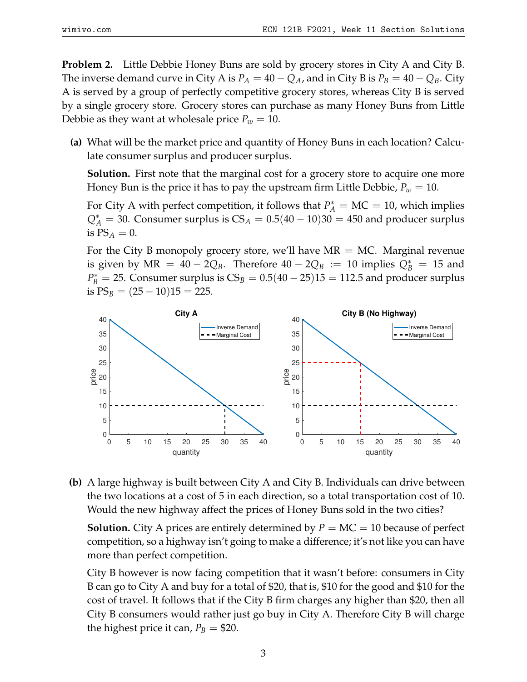**Problem 2.** Little Debbie Honey Buns are sold by grocery stores in City A and City B. The inverse demand curve in City A is  $P_A = 40 - Q_A$ , and in City B is  $P_B = 40 - Q_B$ . City A is served by a group of perfectly competitive grocery stores, whereas City B is served by a single grocery store. Grocery stores can purchase as many Honey Buns from Little Debbie as they want at wholesale price  $P_w = 10$ .

**(a)** What will be the market price and quantity of Honey Buns in each location? Calculate consumer surplus and producer surplus.

**Solution.** First note that the marginal cost for a grocery store to acquire one more Honey Bun is the price it has to pay the upstream firm Little Debbie,  $P_w = 10$ .

For City A with perfect competition, it follows that  $P_A^* = MC = 10$ , which implies  $Q_A^* = 30$ . Consumer surplus is  $CS_A = 0.5(40 - 10)30 = 450$  and producer surplus is  $PS_A = 0$ .

For the City B monopoly grocery store, we'll have  $MR = MC$ . Marginal revenue is given by  $MR = 40 - 2Q_B$ . Therefore  $40 - 2Q_B := 10$  implies  $Q_B^* = 15$  and  $P_B^* = 25$ . Consumer surplus is  $CS_B = 0.5(40 - 25)15 = 112.5$  and producer surplus is  $PS_B = (25 - 10)15 = 225$ .



**(b)** A large highway is built between City A and City B. Individuals can drive between the two locations at a cost of 5 in each direction, so a total transportation cost of 10. Would the new highway affect the prices of Honey Buns sold in the two cities?

**Solution.** City A prices are entirely determined by  $P = MC = 10$  because of perfect competition, so a highway isn't going to make a difference; it's not like you can have more than perfect competition.

City B however is now facing competition that it wasn't before: consumers in City B can go to City A and buy for a total of \$20, that is, \$10 for the good and \$10 for the cost of travel. It follows that if the City B firm charges any higher than \$20, then all City B consumers would rather just go buy in City A. Therefore City B will charge the highest price it can,  $P_B = $20$ .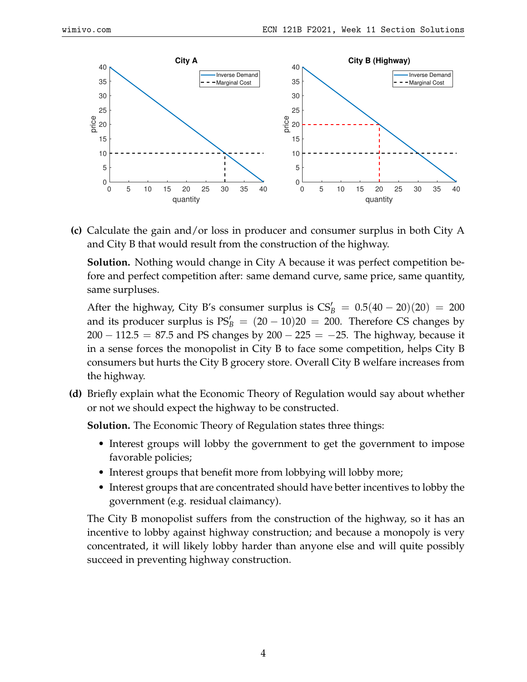

**(c)** Calculate the gain and/or loss in producer and consumer surplus in both City A and City B that would result from the construction of the highway.

**Solution.** Nothing would change in City A because it was perfect competition before and perfect competition after: same demand curve, same price, same quantity, same surpluses.

After the highway, City B's consumer surplus is  $CS'_B = 0.5(40 - 20)(20) = 200$ and its producer surplus is  $PS'_B = (20 - 10)20 = 200$ . Therefore CS changes by  $200 - 112.5 = 87.5$  and PS changes by  $200 - 225 = -25$ . The highway, because it in a sense forces the monopolist in City B to face some competition, helps City B consumers but hurts the City B grocery store. Overall City B welfare increases from the highway.

**(d)** Briefly explain what the Economic Theory of Regulation would say about whether or not we should expect the highway to be constructed.

**Solution.** The Economic Theory of Regulation states three things:

- Interest groups will lobby the government to get the government to impose favorable policies;
- Interest groups that benefit more from lobbying will lobby more;
- Interest groups that are concentrated should have better incentives to lobby the government (e.g. residual claimancy).

The City B monopolist suffers from the construction of the highway, so it has an incentive to lobby against highway construction; and because a monopoly is very concentrated, it will likely lobby harder than anyone else and will quite possibly succeed in preventing highway construction.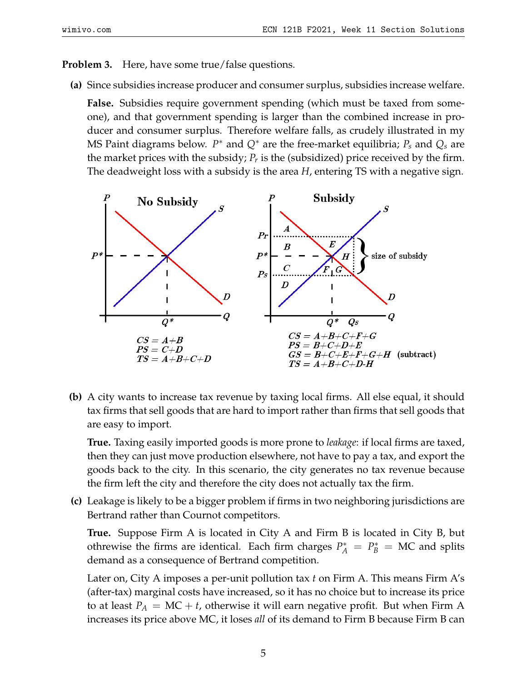## **Problem 3.** Here, have some true/false questions.

**(a)** Since subsidies increase producer and consumer surplus, subsidies increase welfare.

**False.** Subsidies require government spending (which must be taxed from someone), and that government spending is larger than the combined increase in producer and consumer surplus. Therefore welfare falls, as crudely illustrated in my MS Paint diagrams below. *P* <sup>∗</sup> and *Q*<sup>∗</sup> are the free-market equilibria; *P<sup>s</sup>* and *Q<sup>s</sup>* are the market prices with the subsidy; *P<sup>r</sup>* is the (subsidized) price received by the firm. The deadweight loss with a subsidy is the area *H*, entering TS with a negative sign.



**(b)** A city wants to increase tax revenue by taxing local firms. All else equal, it should tax firms that sell goods that are hard to import rather than firms that sell goods that are easy to import.

**True.** Taxing easily imported goods is more prone to *leakage*: if local firms are taxed, then they can just move production elsewhere, not have to pay a tax, and export the goods back to the city. In this scenario, the city generates no tax revenue because the firm left the city and therefore the city does not actually tax the firm.

**(c)** Leakage is likely to be a bigger problem if firms in two neighboring jurisdictions are Bertrand rather than Cournot competitors.

**True.** Suppose Firm A is located in City A and Firm B is located in City B, but othrewise the firms are identical. Each firm charges  $P_A^* = P_B^* = MC$  and splits demand as a consequence of Bertrand competition.

Later on, City A imposes a per-unit pollution tax *t* on Firm A. This means Firm A's (after-tax) marginal costs have increased, so it has no choice but to increase its price to at least  $P_A = MC + t$ , otherwise it will earn negative profit. But when Firm A increases its price above MC, it loses *all* of its demand to Firm B because Firm B can